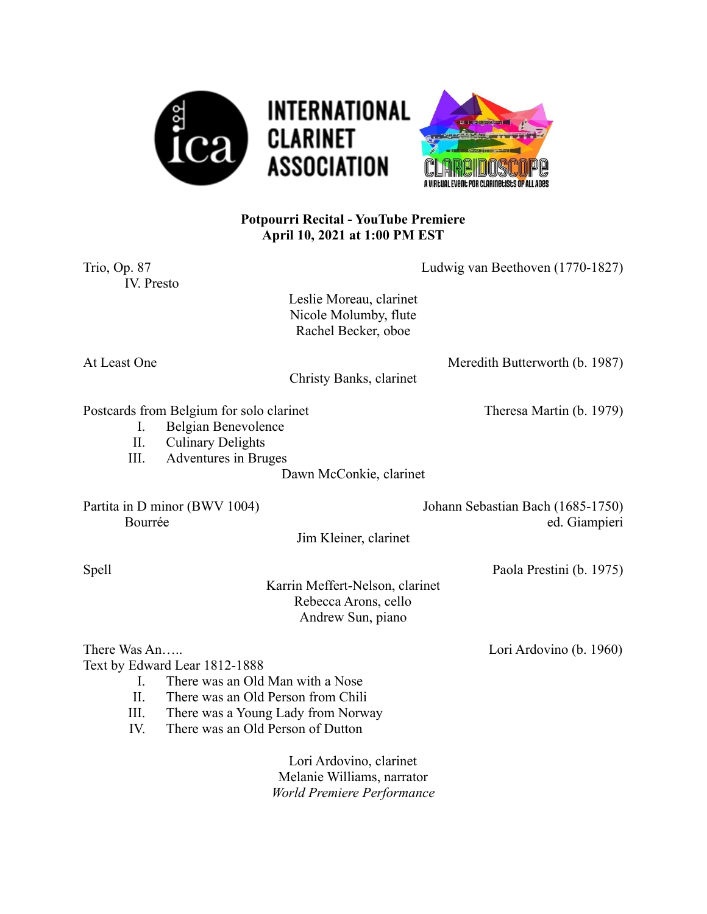

## **Potpourri Recital - YouTube Premiere April 10, 2021 at 1:00 PM EST**

| Trio, Op. 87<br>IV. Presto               |                                                                                                                     | Ludwig van Beethoven (1770-1827)                                             |                                                    |
|------------------------------------------|---------------------------------------------------------------------------------------------------------------------|------------------------------------------------------------------------------|----------------------------------------------------|
|                                          |                                                                                                                     | Leslie Moreau, clarinet<br>Nicole Molumby, flute<br>Rachel Becker, oboe      |                                                    |
| At Least One                             |                                                                                                                     | Christy Banks, clarinet                                                      | Meredith Butterworth (b. 1987)                     |
| I.<br>II.<br>III.                        | Postcards from Belgium for solo clarinet<br>Belgian Benevolence<br><b>Culinary Delights</b><br>Adventures in Bruges |                                                                              | Theresa Martin (b. 1979)                           |
|                                          |                                                                                                                     | Dawn McConkie, clarinet                                                      |                                                    |
| Partita in D minor (BWV 1004)<br>Bourrée |                                                                                                                     |                                                                              | Johann Sebastian Bach (1685-1750)<br>ed. Giampieri |
|                                          |                                                                                                                     | Jim Kleiner, clarinet                                                        |                                                    |
| Spell                                    |                                                                                                                     |                                                                              | Paola Prestini (b. 1975)                           |
|                                          |                                                                                                                     | Karrin Meffert-Nelson, clarinet<br>Rebecca Arons, cello<br>Andrew Sun, piano |                                                    |
| There Was An                             |                                                                                                                     |                                                                              | Lori Ardovino (b. 1960)                            |
|                                          | Text by Edward Lear 1812-1888                                                                                       |                                                                              |                                                    |
| $\mathbf{I}$ .                           | There was an Old Man with a Nose                                                                                    |                                                                              |                                                    |
| II.                                      | There was an Old Person from Chili                                                                                  |                                                                              |                                                    |
| III.<br>IV.                              | There was an Old Person of Dutton                                                                                   | There was a Young Lady from Norway                                           |                                                    |
|                                          |                                                                                                                     | Lori Ardovino, clarinet                                                      |                                                    |
|                                          |                                                                                                                     | Melanie Williams, narrator                                                   |                                                    |
|                                          |                                                                                                                     | World Premiere Performance                                                   |                                                    |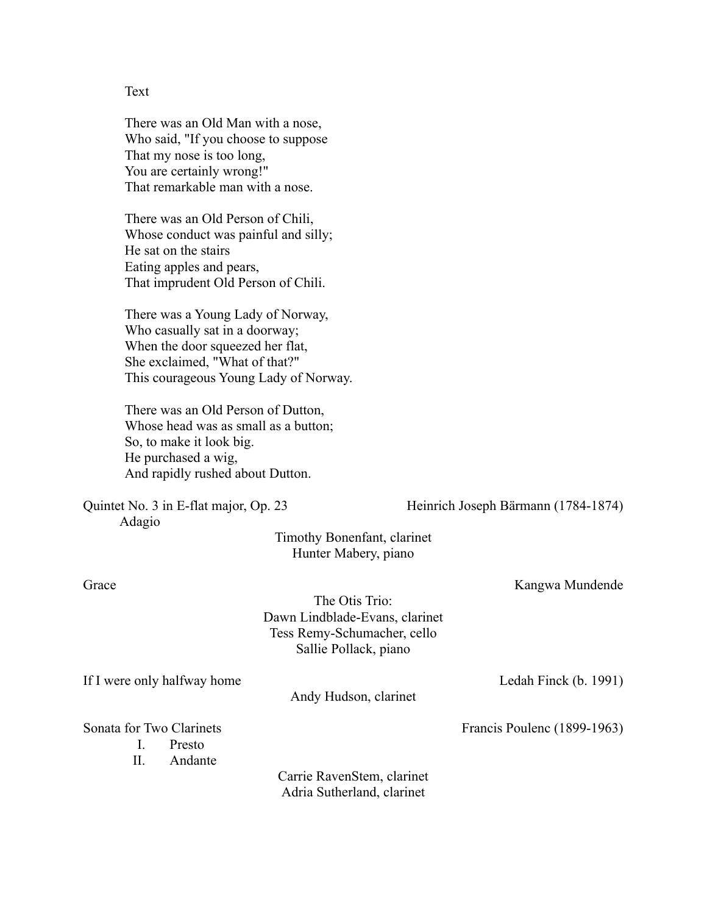Text

There was an Old Man with a nose, Who said, "If you choose to suppose That my nose is too long, You are certainly wrong!" That remarkable man with a nose.

There was an Old Person of Chili, Whose conduct was painful and silly; He sat on the stairs Eating apples and pears, That imprudent Old Person of Chili.

There was a Young Lady of Norway, Who casually sat in a doorway; When the door squeezed her flat, She exclaimed, "What of that?" This courageous Young Lady of Norway.

There was an Old Person of Dutton, Whose head was as small as a button; So, to make it look big. He purchased a wig, And rapidly rushed about Dutton.

Adagio

Quintet No. 3 in E-flat major, Op. 23 Heinrich Joseph Bärmann (1784-1874)

Timothy Bonenfant, clarinet Hunter Mabery, piano

Grace Kangwa Mundende

The Otis Trio: Dawn Lindblade-Evans, clarinet Tess Remy-Schumacher, cello Sallie Pollack, piano

If I were only halfway home Ledah Finck (b. 1991)

Andy Hudson, clarinet

Sonata for Two Clarinets Francis Poulenc (1899-1963)

I. Presto

II. Andante

Carrie RavenStem, clarinet Adria Sutherland, clarinet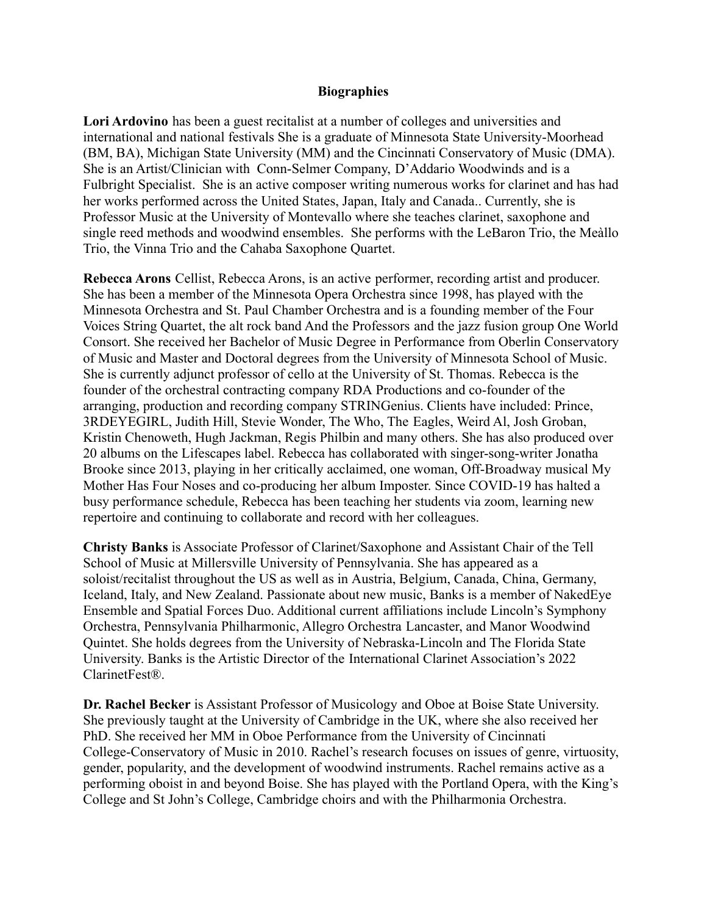## **Biographies**

**Lori Ardovino** has been a guest recitalist at a number of colleges and universities and international and national festivals She is a graduate of Minnesota State University-Moorhead (BM, BA), Michigan State University (MM) and the Cincinnati Conservatory of Music (DMA). She is an Artist/Clinician with Conn-Selmer Company, D'Addario Woodwinds and is a Fulbright Specialist. She is an active composer writing numerous works for clarinet and has had her works performed across the United States, Japan, Italy and Canada.. Currently, she is Professor Music at the University of Montevallo where she teaches clarinet, saxophone and single reed methods and woodwind ensembles. She performs with the LeBaron Trio, the Meàllo Trio, the Vinna Trio and the Cahaba Saxophone Quartet.

**Rebecca Arons** Cellist, Rebecca Arons, is an active performer, recording artist and producer. She has been a member of the Minnesota Opera Orchestra since 1998, has played with the Minnesota Orchestra and St. Paul Chamber Orchestra and is a founding member of the Four Voices String Quartet, the alt rock band And the Professors and the jazz fusion group One World Consort. She received her Bachelor of Music Degree in Performance from Oberlin Conservatory of Music and Master and Doctoral degrees from the University of Minnesota School of Music. She is currently adjunct professor of cello at the University of St. Thomas. Rebecca is the founder of the orchestral contracting company RDA Productions and co-founder of the arranging, production and recording company STRINGenius. Clients have included: Prince, 3RDEYEGIRL, Judith Hill, Stevie Wonder, The Who, The Eagles, Weird Al, Josh Groban, Kristin Chenoweth, Hugh Jackman, Regis Philbin and many others. She has also produced over 20 albums on the Lifescapes label. Rebecca has collaborated with singer-song-writer Jonatha Brooke since 2013, playing in her critically acclaimed, one woman, Off-Broadway musical My Mother Has Four Noses and co-producing her album Imposter. Since COVID-19 has halted a busy performance schedule, Rebecca has been teaching her students via zoom, learning new repertoire and continuing to collaborate and record with her colleagues.

**Christy Banks** is Associate Professor of Clarinet/Saxophone and Assistant Chair of the Tell School of Music at Millersville University of Pennsylvania. She has appeared as a soloist/recitalist throughout the US as well as in Austria, Belgium, Canada, China, Germany, Iceland, Italy, and New Zealand. Passionate about new music, Banks is a member of NakedEye Ensemble and Spatial Forces Duo. Additional current affiliations include Lincoln's Symphony Orchestra, Pennsylvania Philharmonic, Allegro Orchestra Lancaster, and Manor Woodwind Quintet. She holds degrees from the University of Nebraska-Lincoln and The Florida State University. Banks is the Artistic Director of the International Clarinet Association's 2022 ClarinetFest®.

**Dr. Rachel Becker** is Assistant Professor of Musicology and Oboe at Boise State University. She previously taught at the University of Cambridge in the UK, where she also received her PhD. She received her MM in Oboe Performance from the University of Cincinnati College-Conservatory of Music in 2010. Rachel's research focuses on issues of genre, virtuosity, gender, popularity, and the development of woodwind instruments. Rachel remains active as a performing oboist in and beyond Boise. She has played with the Portland Opera, with the King's College and St John's College, Cambridge choirs and with the Philharmonia Orchestra.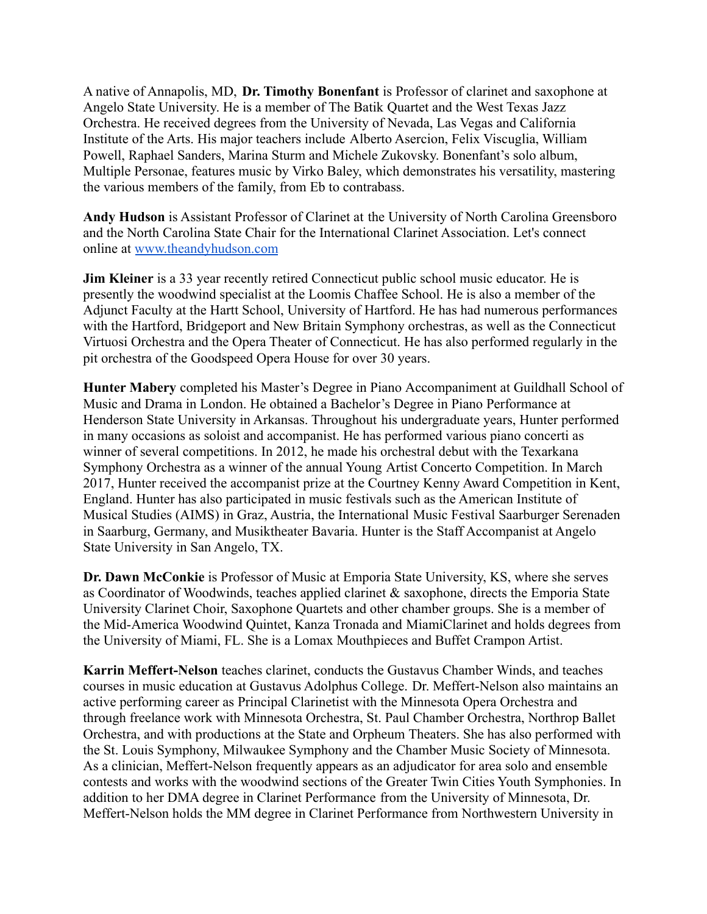A native of Annapolis, MD, **Dr. Timothy Bonenfant** is Professor of clarinet and saxophone at Angelo State University. He is a member of The Batik Quartet and the West Texas Jazz Orchestra. He received degrees from the University of Nevada, Las Vegas and California Institute of the Arts. His major teachers include Alberto Asercion, Felix Viscuglia, William Powell, Raphael Sanders, Marina Sturm and Michele Zukovsky. Bonenfant's solo album, Multiple Personae, features music by Virko Baley, which demonstrates his versatility, mastering the various members of the family, from Eb to contrabass.

**Andy Hudson** is Assistant Professor of Clarinet at the University of North Carolina Greensboro and the North Carolina State Chair for the International Clarinet Association. Let's connect online at [www.theandyhudson.com](http://www.theandyhudson.com/)

**Jim Kleiner** is a 33 year recently retired Connecticut public school music educator. He is presently the woodwind specialist at the Loomis Chaffee School. He is also a member of the Adjunct Faculty at the Hartt School, University of Hartford. He has had numerous performances with the Hartford, Bridgeport and New Britain Symphony orchestras, as well as the Connecticut Virtuosi Orchestra and the Opera Theater of Connecticut. He has also performed regularly in the pit orchestra of the Goodspeed Opera House for over 30 years.

**Hunter Mabery** completed his Master's Degree in Piano Accompaniment at Guildhall School of Music and Drama in London. He obtained a Bachelor's Degree in Piano Performance at Henderson State University in Arkansas. Throughout his undergraduate years, Hunter performed in many occasions as soloist and accompanist. He has performed various piano concerti as winner of several competitions. In 2012, he made his orchestral debut with the Texarkana Symphony Orchestra as a winner of the annual Young Artist Concerto Competition. In March 2017, Hunter received the accompanist prize at the Courtney Kenny Award Competition in Kent, England. Hunter has also participated in music festivals such as the American Institute of Musical Studies (AIMS) in Graz, Austria, the International Music Festival Saarburger Serenaden in Saarburg, Germany, and Musiktheater Bavaria. Hunter is the Staff Accompanist at Angelo State University in San Angelo, TX.

**Dr. Dawn McConkie** is Professor of Music at Emporia State University, KS, where she serves as Coordinator of Woodwinds, teaches applied clarinet & saxophone, directs the Emporia State University Clarinet Choir, Saxophone Quartets and other chamber groups. She is a member of the Mid-America Woodwind Quintet, Kanza Tronada and MiamiClarinet and holds degrees from the University of Miami, FL. She is a Lomax Mouthpieces and Buffet Crampon Artist.

**Karrin Meffert-Nelson** teaches clarinet, conducts the Gustavus Chamber Winds, and teaches courses in music education at Gustavus Adolphus College. Dr. Meffert-Nelson also maintains an active performing career as Principal Clarinetist with the Minnesota Opera Orchestra and through freelance work with Minnesota Orchestra, St. Paul Chamber Orchestra, Northrop Ballet Orchestra, and with productions at the State and Orpheum Theaters. She has also performed with the St. Louis Symphony, Milwaukee Symphony and the Chamber Music Society of Minnesota. As a clinician, Meffert-Nelson frequently appears as an adjudicator for area solo and ensemble contests and works with the woodwind sections of the Greater Twin Cities Youth Symphonies. In addition to her DMA degree in Clarinet Performance from the University of Minnesota, Dr. Meffert-Nelson holds the MM degree in Clarinet Performance from Northwestern University in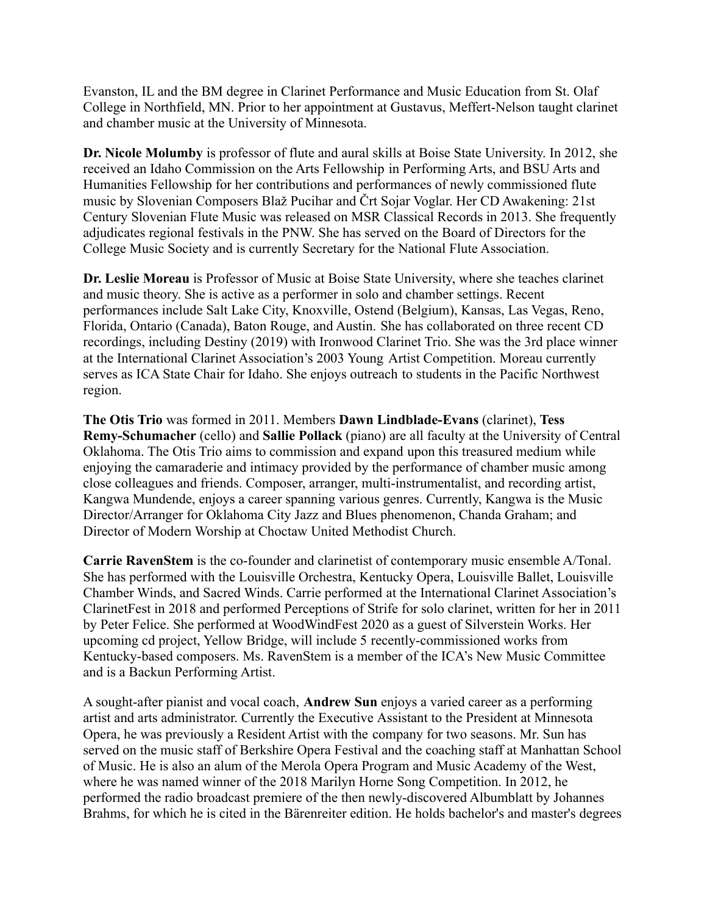Evanston, IL and the BM degree in Clarinet Performance and Music Education from St. Olaf College in Northfield, MN. Prior to her appointment at Gustavus, Meffert-Nelson taught clarinet and chamber music at the University of Minnesota.

**Dr. Nicole Molumby** is professor of flute and aural skills at Boise State University. In 2012, she received an Idaho Commission on the Arts Fellowship in Performing Arts, and BSU Arts and Humanities Fellowship for her contributions and performances of newly commissioned flute music by Slovenian Composers Blaž Pucihar and Črt Sojar Voglar. Her CD Awakening: 21st Century Slovenian Flute Music was released on MSR Classical Records in 2013. She frequently adjudicates regional festivals in the PNW. She has served on the Board of Directors for the College Music Society and is currently Secretary for the National Flute Association.

**Dr. Leslie Moreau** is Professor of Music at Boise State University, where she teaches clarinet and music theory. She is active as a performer in solo and chamber settings. Recent performances include Salt Lake City, Knoxville, Ostend (Belgium), Kansas, Las Vegas, Reno, Florida, Ontario (Canada), Baton Rouge, and Austin. She has collaborated on three recent CD recordings, including Destiny (2019) with Ironwood Clarinet Trio. She was the 3rd place winner at the International Clarinet Association's 2003 Young Artist Competition. Moreau currently serves as ICA State Chair for Idaho. She enjoys outreach to students in the Pacific Northwest region.

**The Otis Trio** was formed in 2011. Members **Dawn Lindblade-Evans** (clarinet), **Tess Remy-Schumacher** (cello) and **Sallie Pollack** (piano) are all faculty at the University of Central Oklahoma. The Otis Trio aims to commission and expand upon this treasured medium while enjoying the camaraderie and intimacy provided by the performance of chamber music among close colleagues and friends. Composer, arranger, multi-instrumentalist, and recording artist, Kangwa Mundende, enjoys a career spanning various genres. Currently, Kangwa is the Music Director/Arranger for Oklahoma City Jazz and Blues phenomenon, Chanda Graham; and Director of Modern Worship at Choctaw United Methodist Church.

**Carrie RavenStem** is the co-founder and clarinetist of contemporary music ensemble A/Tonal. She has performed with the Louisville Orchestra, Kentucky Opera, Louisville Ballet, Louisville Chamber Winds, and Sacred Winds. Carrie performed at the International Clarinet Association's ClarinetFest in 2018 and performed Perceptions of Strife for solo clarinet, written for her in 2011 by Peter Felice. She performed at WoodWindFest 2020 as a guest of Silverstein Works. Her upcoming cd project, Yellow Bridge, will include 5 recently-commissioned works from Kentucky-based composers. Ms. RavenStem is a member of the ICA's New Music Committee and is a Backun Performing Artist.

A sought-after pianist and vocal coach, **Andrew Sun** enjoys a varied career as a performing artist and arts administrator. Currently the Executive Assistant to the President at Minnesota Opera, he was previously a Resident Artist with the company for two seasons. Mr. Sun has served on the music staff of Berkshire Opera Festival and the coaching staff at Manhattan School of Music. He is also an alum of the Merola Opera Program and Music Academy of the West, where he was named winner of the 2018 Marilyn Horne Song Competition. In 2012, he performed the radio broadcast premiere of the then newly-discovered Albumblatt by Johannes Brahms, for which he is cited in the Bärenreiter edition. He holds bachelor's and master's degrees